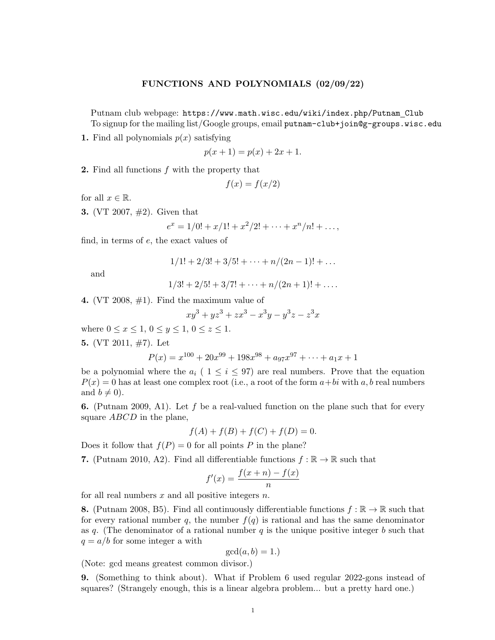## FUNCTIONS AND POLYNOMIALS (02/09/22)

Putnam club webpage: https://www.math.wisc.edu/wiki/index.php/Putnam Club To signup for the mailing list/Google groups, email putnam-club+join@g-groups.wisc.edu

1. Find all polynomials  $p(x)$  satisfying

$$
p(x+1) = p(x) + 2x + 1.
$$

2. Find all functions f with the property that

$$
f(x) = f(x/2)
$$

for all  $x \in \mathbb{R}$ .

3. (VT 2007, #2). Given that

$$
e^x = 1/0! + x/1! + x^2/2! + \dots + x^n/n! + \dots,
$$

find, in terms of e, the exact values of

$$
1/1! + 2/3! + 3/5! + \cdots + n/(2n - 1)! + \ldots
$$

and

$$
1/3! + 2/5! + 3/7! + \cdots + n/(2n + 1)! + \ldots
$$

4. (VT 2008,  $\#1$ ). Find the maximum value of

$$
xy^3 + yz^3 + zx^3 - x^3y - y^3z - z^3x
$$

where  $0 \le x \le 1, 0 \le y \le 1, 0 \le z \le 1$ .

5. (VT 2011,  $\#7$ ). Let

$$
P(x) = x^{100} + 20x^{99} + 198x^{98} + a_{97}x^{97} + \dots + a_1x + 1
$$

be a polynomial where the  $a_i$  (  $1 \leq i \leq 97$ ) are real numbers. Prove that the equation  $P(x) = 0$  has at least one complex root (i.e., a root of the form  $a+bi$  with  $a, b$  real numbers and  $b \neq 0$ ).

**6.** (Putnam 2009, A1). Let f be a real-valued function on the plane such that for every square *ABCD* in the plane,

$$
f(A) + f(B) + f(C) + f(D) = 0.
$$

Does it follow that  $f(P) = 0$  for all points P in the plane?

7. (Putnam 2010, A2). Find all differentiable functions  $f : \mathbb{R} \to \mathbb{R}$  such that

$$
f'(x) = \frac{f(x+n) - f(x)}{n}
$$

for all real numbers  $x$  and all positive integers  $n$ .

8. (Putnam 2008, B5). Find all continuously differentiable functions  $f : \mathbb{R} \to \mathbb{R}$  such that for every rational number q, the number  $f(q)$  is rational and has the same denominator as q. (The denominator of a rational number  $q$  is the unique positive integer  $b$  such that  $q = a/b$  for some integer a with

$$
\gcd(a, b) = 1.)
$$

(Note: gcd means greatest common divisor.)

9. (Something to think about). What if Problem 6 used regular 2022-gons instead of squares? (Strangely enough, this is a linear algebra problem... but a pretty hard one.)